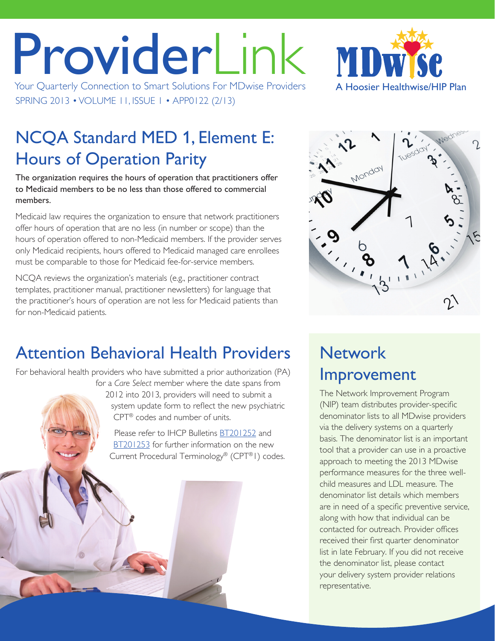# ProviderLink Your Quarterly Connection to Smart Solutions For MDwise Providers

SPRING 2013 • VOLUME 11, ISSUE 1 • APP0122 (2/13)



# NCQA Standard MED 1, Element E: Hours of Operation Parity

The organization requires the hours of operation that practitioners offer to Medicaid members to be no less than those offered to commercial members.

Medicaid law requires the organization to ensure that network practitioners offer hours of operation that are no less (in number or scope) than the hours of operation offered to non-Medicaid members. If the provider serves only Medicaid recipients, hours offered to Medicaid managed care enrollees must be comparable to those for Medicaid fee-for-service members.

NCQA reviews the organization's materials (e.g., practitioner contract templates, practitioner manual, practitioner newsletters) for language that the practitioner's hours of operation are not less for Medicaid patients than for non-Medicaid patients.



# Attention Behavioral Health Providers

For behavioral health providers who have submitted a prior authorization (PA) for a *Care Select* member where the date spans from

2012 into 2013, providers will need to submit a system update form to reflect the new psychiatric CPT® codes and number of units.

Please refer to IHCP Bulletins [BT201252](www.indianamedicaid.com/ihcp/Bulletins/BT201252.pdf) and [BT201253](www.indianamedicaid.com/ihcp/Bulletins/BT201253.pdf) for further information on the new Current Procedural Terminology® (CPT®1) codes.

# **Network** Improvement

The Network Improvement Program (NIP) team distributes provider-specific denominator lists to all MDwise providers via the delivery systems on a quarterly basis. The denominator list is an important tool that a provider can use in a proactive approach to meeting the 2013 MDwise performance measures for the three wellchild measures and LDL measure. The denominator list details which members are in need of a specific preventive service, along with how that individual can be contacted for outreach. Provider offices received their first quarter denominator list in late February. If you did not receive the denominator list, please contact your delivery system provider relations representative.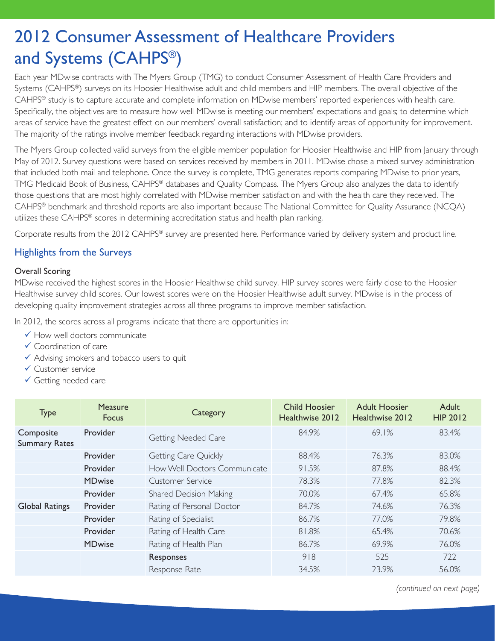# 2012 Consumer Assessment of Healthcare Providers and Systems (CAHPS®)

Each year MDwise contracts with The Myers Group (TMG) to conduct Consumer Assessment of Health Care Providers and Systems (CAHPS®) surveys on its Hoosier Healthwise adult and child members and HIP members. The overall objective of the CAHPS® study is to capture accurate and complete information on MDwise members' reported experiences with health care. Specifically, the objectives are to measure how well MDwise is meeting our members' expectations and goals; to determine which areas of service have the greatest effect on our members' overall satisfaction; and to identify areas of opportunity for improvement. The majority of the ratings involve member feedback regarding interactions with MDwise providers.

The Myers Group collected valid surveys from the eligible member population for Hoosier Healthwise and HIP from January through May of 2012. Survey questions were based on services received by members in 2011. MDwise chose a mixed survey administration that included both mail and telephone. Once the survey is complete, TMG generates reports comparing MDwise to prior years, TMG Medicaid Book of Business, CAHPS® databases and Quality Compass. The Myers Group also analyzes the data to identify those questions that are most highly correlated with MDwise member satisfaction and with the health care they received. The CAHPS® benchmark and threshold reports are also important because The National Committee for Quality Assurance (NCQA) utilizes these CAHPS® scores in determining accreditation status and health plan ranking.

Corporate results from the 2012 CAHPS® survey are presented here. Performance varied by delivery system and product line.

### Highlights from the Surveys

### Overall Scoring

MDwise received the highest scores in the Hoosier Healthwise child survey. HIP survey scores were fairly close to the Hoosier Healthwise survey child scores. Our lowest scores were on the Hoosier Healthwise adult survey. MDwise is in the process of developing quality improvement strategies across all three programs to improve member satisfaction.

In 2012, the scores across all programs indicate that there are opportunities in:

- $\checkmark$  How well doctors communicate
- $\checkmark$  Coordination of care
- $\checkmark$  Advising smokers and tobacco users to quit
- $\checkmark$  Customer service
- $\checkmark$  Getting needed care

| <b>Type</b>                       | <b>Measure</b><br><b>Focus</b> | Category                      | <b>Child Hoosier</b><br>Healthwise 2012 | <b>Adult Hoosier</b><br>Healthwise 2012 | Adult<br><b>HIP 2012</b> |
|-----------------------------------|--------------------------------|-------------------------------|-----------------------------------------|-----------------------------------------|--------------------------|
| Composite<br><b>Summary Rates</b> | Provider                       | <b>Getting Needed Care</b>    | 84.9%                                   | 69.1%                                   | 83.4%                    |
|                                   | Provider                       | Getting Care Quickly          | 88.4%                                   | 76.3%                                   | 83.0%                    |
|                                   | Provider                       | How Well Doctors Communicate  | 91.5%                                   | 87.8%                                   | 88.4%                    |
|                                   | <b>MDwise</b>                  | Customer Service              | 78.3%                                   | 77.8%                                   | 82.3%                    |
|                                   | Provider                       | <b>Shared Decision Making</b> | 70.0%                                   | 67.4%                                   | 65.8%                    |
| <b>Global Ratings</b>             | Provider                       | Rating of Personal Doctor     | 84.7%                                   | 74.6%                                   | 76.3%                    |
|                                   | Provider                       | Rating of Specialist          | 86.7%                                   | 77.0%                                   | 79.8%                    |
|                                   | Provider                       | Rating of Health Care         | 81.8%                                   | 65.4%                                   | 70.6%                    |
|                                   | <b>MDwise</b>                  | Rating of Health Plan         | 86.7%                                   | 69.9%                                   | 76.0%                    |
|                                   |                                | Responses                     | 918                                     | 525                                     | 722                      |
|                                   |                                | Response Rate                 | 34.5%                                   | 23.9%                                   | 56.0%                    |

*(continued on next page)*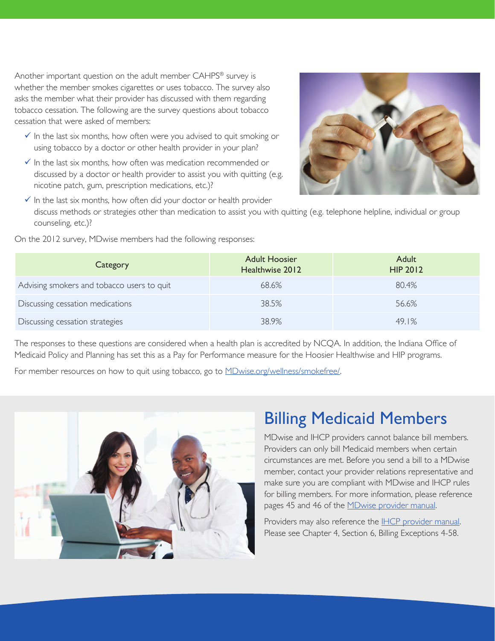Another important question on the adult member CAHPS® survey is whether the member smokes cigarettes or uses tobacco. The survey also asks the member what their provider has discussed with them regarding tobacco cessation. The following are the survey questions about tobacco cessation that were asked of members:

- $\checkmark$  In the last six months, how often were you advised to quit smoking or using tobacco by a doctor or other health provider in your plan?
- $\checkmark$  In the last six months, how often was medication recommended or discussed by a doctor or health provider to assist you with quitting (e.g. nicotine patch, gum, prescription medications, etc.)?



 $\checkmark$  In the last six months, how often did your doctor or health provider discuss methods or strategies other than medication to assist you with quitting (e.g. telephone helpline, individual or group counseling, etc.)?

| Category                                   | <b>Adult Hoosier</b><br>Healthwise 2012 | Adult<br><b>HIP 2012</b> |
|--------------------------------------------|-----------------------------------------|--------------------------|
| Advising smokers and tobacco users to quit | 68.6%                                   | 80.4%                    |
| Discussing cessation medications           | 38.5%                                   | 56.6%                    |
| Discussing cessation strategies            | 38.9%                                   | 49.1%                    |

On the 2012 survey, MDwise members had the following responses:

The responses to these questions are considered when a health plan is accredited by NCQA. In addition, the Indiana Office of Medicaid Policy and Planning has set this as a Pay for Performance measure for the Hoosier Healthwise and HIP programs.

For member resources on how to quit using tobacco, go to **[MDwise.org/wellness/smokefree/](http://MDwise.org/wellness/smokefree/)**.



### Billing Medicaid Members

MDwise and IHCP providers cannot balance bill members. Providers can only bill Medicaid members when certain circumstances are met. Before you send a bill to a MDwise member, contact your provider relations representative and make sure you are compliant with MDwise and IHCP rules for billing members. For more information, please reference pages 45 and 46 of the [MDwise provider manual.](http://mdwise.org/providers-manual.html)

Providers may also reference the [IHCP provider manual.](http://provider.indianamedicaid.com/general-provider-services/manuals.aspx) Please see Chapter 4, Section 6, Billing Exceptions 4-58.